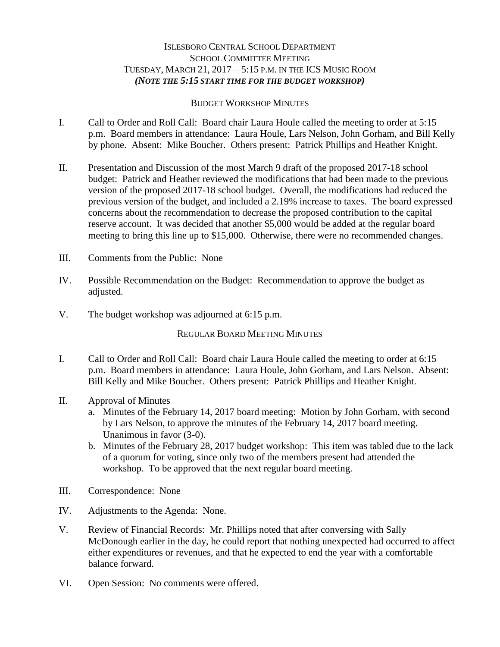## ISLESBORO CENTRAL SCHOOL DEPARTMENT SCHOOL COMMITTEE MEETING TUESDAY, MARCH 21, 2017—5:15 P.M. IN THE ICS MUSIC ROOM *(NOTE THE 5:15 START TIME FOR THE BUDGET WORKSHOP)*

## BUDGET WORKSHOP MINUTES

- I. Call to Order and Roll Call: Board chair Laura Houle called the meeting to order at 5:15 p.m. Board members in attendance: Laura Houle, Lars Nelson, John Gorham, and Bill Kelly by phone. Absent: Mike Boucher. Others present: Patrick Phillips and Heather Knight.
- II. Presentation and Discussion of the most March 9 draft of the proposed 2017-18 school budget: Patrick and Heather reviewed the modifications that had been made to the previous version of the proposed 2017-18 school budget. Overall, the modifications had reduced the previous version of the budget, and included a 2.19% increase to taxes. The board expressed concerns about the recommendation to decrease the proposed contribution to the capital reserve account. It was decided that another \$5,000 would be added at the regular board meeting to bring this line up to \$15,000. Otherwise, there were no recommended changes.
- III. Comments from the Public: None
- IV. Possible Recommendation on the Budget: Recommendation to approve the budget as adjusted.
- V. The budget workshop was adjourned at 6:15 p.m.

REGULAR BOARD MEETING MINUTES

- I. Call to Order and Roll Call: Board chair Laura Houle called the meeting to order at 6:15 p.m. Board members in attendance: Laura Houle, John Gorham, and Lars Nelson. Absent: Bill Kelly and Mike Boucher. Others present: Patrick Phillips and Heather Knight.
- II. Approval of Minutes
	- a. Minutes of the February 14, 2017 board meeting: Motion by John Gorham, with second by Lars Nelson, to approve the minutes of the February 14, 2017 board meeting. Unanimous in favor (3-0).
	- b. Minutes of the February 28, 2017 budget workshop: This item was tabled due to the lack of a quorum for voting, since only two of the members present had attended the workshop. To be approved that the next regular board meeting.
- III. Correspondence: None
- IV. Adjustments to the Agenda: None.
- V. Review of Financial Records: Mr. Phillips noted that after conversing with Sally McDonough earlier in the day, he could report that nothing unexpected had occurred to affect either expenditures or revenues, and that he expected to end the year with a comfortable balance forward.
- VI. Open Session: No comments were offered.